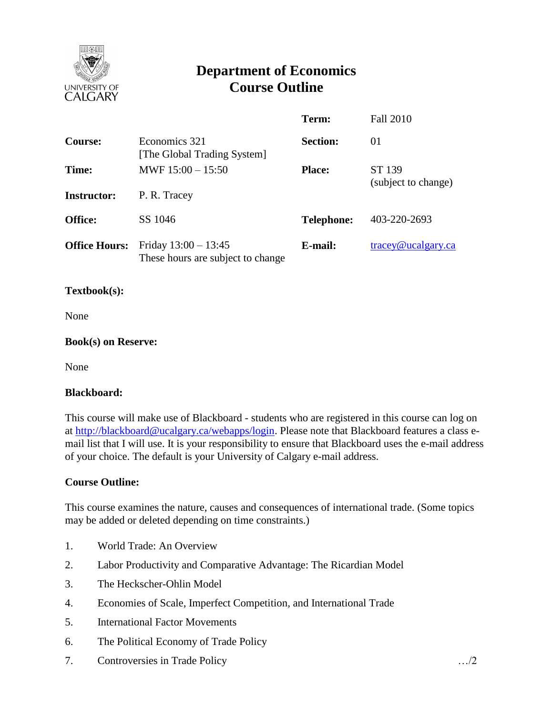

# **Department of Economics Course Outline**

|                      |                                                             | Term:             | <b>Fall 2010</b>                 |
|----------------------|-------------------------------------------------------------|-------------------|----------------------------------|
| <b>Course:</b>       | Economics 321<br>[The Global Trading System]                | <b>Section:</b>   | 01                               |
| Time:                | MWF $15:00 - 15:50$                                         | <b>Place:</b>     | ST 139<br>(subject to change)    |
| <b>Instructor:</b>   | P. R. Tracey                                                |                   |                                  |
| <b>Office:</b>       | SS 1046                                                     | <b>Telephone:</b> | 403-220-2693                     |
| <b>Office Hours:</b> | Friday $13:00 - 13:45$<br>These hours are subject to change | E-mail:           | $trace\$ <sub>@ucalgary.ca</sub> |

#### **Textbook(s):**

None

#### **Book(s) on Reserve:**

None

#### **Blackboard:**

This course will make use of Blackboard - students who are registered in this course can log on at [http://blackboard@ucalgary.ca/webapps/login.](http://blackboard@ucalgary.ca/webapps/login) Please note that Blackboard features a class email list that I will use. It is your responsibility to ensure that Blackboard uses the e-mail address of your choice. The default is your University of Calgary e-mail address.

#### **Course Outline:**

This course examines the nature, causes and consequences of international trade. (Some topics may be added or deleted depending on time constraints.)

- 1. World Trade: An Overview
- 2. Labor Productivity and Comparative Advantage: The Ricardian Model
- 3. The Heckscher-Ohlin Model
- 4. Economies of Scale, Imperfect Competition, and International Trade
- 5. International Factor Movements
- 6. The Political Economy of Trade Policy
- 7. Controversies in Trade Policy …/2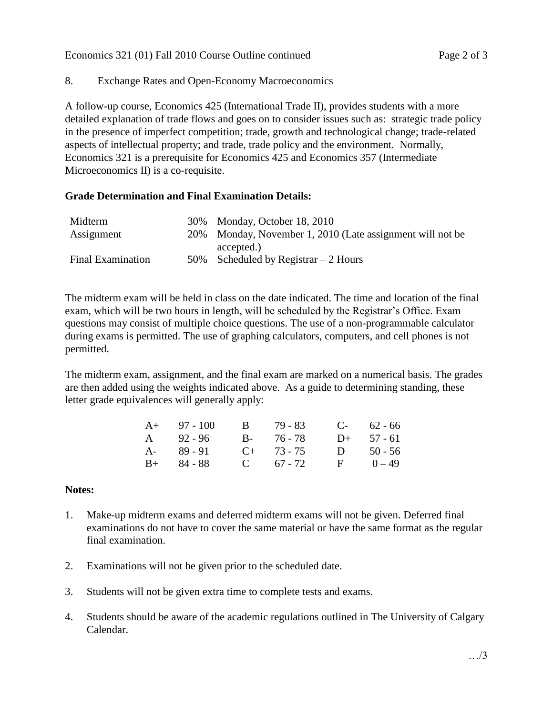## 8. Exchange Rates and Open-Economy Macroeconomics

A follow-up course, Economics 425 (International Trade II), provides students with a more detailed explanation of trade flows and goes on to consider issues such as: strategic trade policy in the presence of imperfect competition; trade, growth and technological change; trade-related aspects of intellectual property; and trade, trade policy and the environment. Normally, Economics 321 is a prerequisite for Economics 425 and Economics 357 (Intermediate Microeconomics II) is a co-requisite.

## **Grade Determination and Final Examination Details:**

| Midterm                  | 30% Monday, October 18, 2010                              |
|--------------------------|-----------------------------------------------------------|
| Assignment               | 20% Monday, November 1, 2010 (Late assignment will not be |
|                          | accepted.)                                                |
| <b>Final Examination</b> | 50% Scheduled by Registrar $-2$ Hours                     |

The midterm exam will be held in class on the date indicated. The time and location of the final exam, which will be two hours in length, will be scheduled by the Registrar's Office. Exam questions may consist of multiple choice questions. The use of a non-programmable calculator during exams is permitted. The use of graphing calculators, computers, and cell phones is not permitted.

The midterm exam, assignment, and the final exam are marked on a numerical basis. The grades are then added using the weights indicated above. As a guide to determining standing, these letter grade equivalences will generally apply:

| $A+$ 97 - 100 | B 79 - 83       |   | $C-$ 62 - 66 |
|---------------|-----------------|---|--------------|
| A 92-96       | B- 76-78        |   | $D+ 57 - 61$ |
| $A - 89 - 91$ | $C_{+}$ 73 - 75 | D | $50 - 56$    |
| $B+$ 84 - 88  | C $67 - 72$     |   | $F = 0 - 49$ |

## **Notes:**

- 1. Make-up midterm exams and deferred midterm exams will not be given. Deferred final examinations do not have to cover the same material or have the same format as the regular final examination.
- 2. Examinations will not be given prior to the scheduled date.
- 3. Students will not be given extra time to complete tests and exams.
- 4. Students should be aware of the academic regulations outlined in The University of Calgary Calendar.